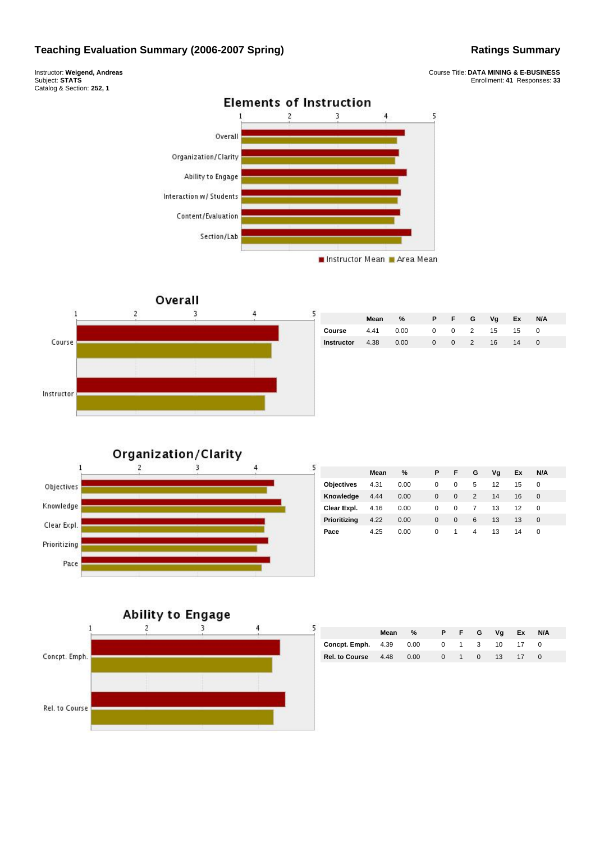## **Teaching Evaluation Summary (2006-2007 Spring) Ratings Summary** Ratings Summary

Instructor: **Weigend, Andreas** Subject: **STATS** Catalog & Section: **252, 1**







|                        | Mean | %    | PFG |               | Vg    | Ex          | N/A |  |
|------------------------|------|------|-----|---------------|-------|-------------|-----|--|
| Course                 | 4.41 | 0.00 |     |               |       | 0 0 2 15 15 |     |  |
| <b>Instructor</b> 4.38 |      | 0.00 |     | $0 \t 0 \t 2$ | $-16$ | 14          |     |  |
|                        |      |      |     |               |       |             |     |  |

## Organization/Clarity



| 5                 | Mean | $\%$ | P        | Æ        | G | Vg | <b>Ex</b> | <b>N/A</b> |  |
|-------------------|------|------|----------|----------|---|----|-----------|------------|--|
| <b>Objectives</b> | 4.31 | 0.00 | 0        | $\Omega$ | 5 | 12 | 15        | 0          |  |
| Knowledge         | 4.44 | 0.00 | $\Omega$ | $\Omega$ | 2 | 14 | 16        | 0          |  |
| Clear Expl.       | 4.16 | 0.00 | 0        | 0        | 7 | 13 | 12        | 0          |  |
| Prioritizing      | 4.22 | 0.00 | $\Omega$ | $\Omega$ | 6 | 13 | 13        | $\Omega$   |  |
| Pace              | 4.25 | 0.00 | 0        | 1        | 4 | 13 | 14        | 0          |  |



|                                | Mean | %    |             | P F G       | Va              | Ex | N/A |  |
|--------------------------------|------|------|-------------|-------------|-----------------|----|-----|--|
| <b>Concpt. Emph.</b> 4.39 0.00 |      |      |             | $0 \t1 \t3$ | 10              |    |     |  |
| Rel. to Course 4.48            |      | 0.00 | $0 \quad 1$ | $\Omega$    | 13 <sup>7</sup> |    |     |  |